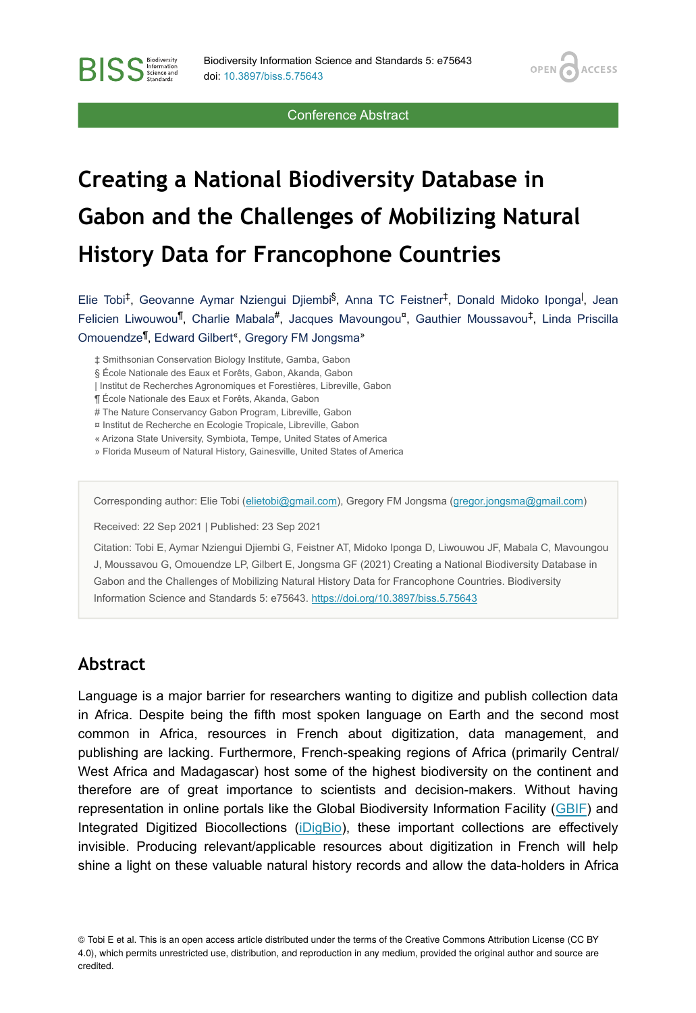**OPEN** 

**ACCESS** 

Conference Abstract

# **Creating a National Biodiversity Database in Gabon and the Challenges of Mobilizing Natural History Data for Francophone Countries**

Elie Tobi<sup>‡</sup>, Geovanne Aymar Nziengui Djiembi<sup>§</sup>, Anna TC Feistner<sup>‡</sup>, Donald Midoko Iponga<sup>l</sup>, Jean Felicien Liwouwou<sup>¶</sup>, Charlie Mabala<sup>#</sup>, Jacques Mavoungou<sup>¤</sup>, Gauthier Moussavou<sup>‡</sup>, Linda Priscilla Omouendze<sup>ll</sup>, Edward Gilbert<sup>«</sup>, Gregory FM Jongsma<sup>»</sup>

‡ Smithsonian Conservation Biology Institute, Gamba, Gabon

- § École Nationale des Eaux et Forêts, Gabon, Akanda, Gabon
- | Institut de Recherches Agronomiques et Forestières, Libreville, Gabon
- ¶ École Nationale des Eaux et Forêts, Akanda, Gabon
- # The Nature Conservancy Gabon Program, Libreville, Gabon
- ¤ Institut de Recherche en Ecologie Tropicale, Libreville, Gabon
- « Arizona State University, Symbiota, Tempe, United States of America
- » Florida Museum of Natural History, Gainesville, United States of America

Corresponding author: Elie Tobi [\(elietobi@gmail.com](mailto:elietobi@gmail.com)), Gregory FM Jongsma ([gregor.jongsma@gmail.com\)](mailto:gregor.jongsma@gmail.com)

Received: 22 Sep 2021 | Published: 23 Sep 2021

Citation: Tobi E, Aymar Nziengui Djiembi G, Feistner AT, Midoko Iponga D, Liwouwou JF, Mabala C, Mavoungou J, Moussavou G, Omouendze LP, Gilbert E, Jongsma GF (2021) Creating a National Biodiversity Database in Gabon and the Challenges of Mobilizing Natural History Data for Francophone Countries. Biodiversity Information Science and Standards 5: e75643.<https://doi.org/10.3897/biss.5.75643>

#### **Abstract**

**BISS** Steince and

Language is a major barrier for researchers wanting to digitize and publish collection data in Africa. Despite being the fifth most spoken language on Earth and the second most common in Africa, resources in French about digitization, data management, and publishing are lacking. Furthermore, French-speaking regions of Africa (primarily Central/ West Africa and Madagascar) host some of the highest biodiversity on the continent and therefore are of great importance to scientists and decision-makers. Without having representation in online portals like the Global Biodiversity Information Facility ([GBIF](https://gbif.org/)) and Integrated Digitized Biocollections ([iDigBio\)](https://www.idigbio.org/), these important collections are effectively invisible. Producing relevant/applicable resources about digitization in French will help shine a light on these valuable natural history records and allow the data-holders in Africa

© Tobi E et al. This is an open access article distributed under the terms of the Creative Commons Attribution License (CC BY 4.0), which permits unrestricted use, distribution, and reproduction in any medium, provided the original author and source are credited.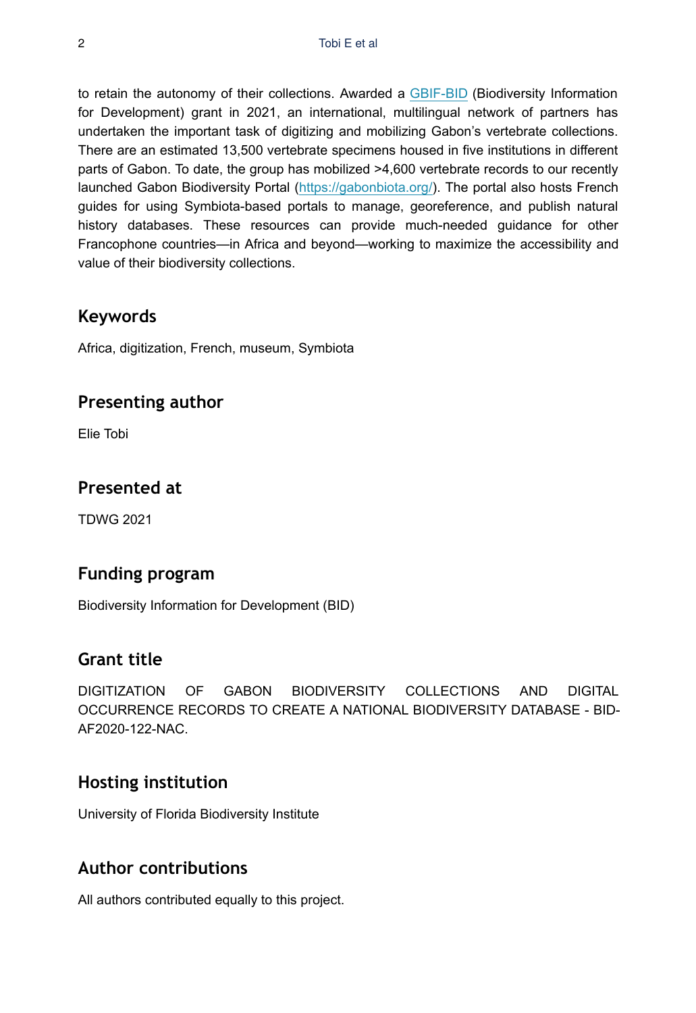to retain the autonomy of their collections. Awarded a [GBIF-BID](https://www.gbif.org/programme/82243/bid-biodiversity-information-for-development) (Biodiversity Information for Development) grant in 2021, an international, multilingual network of partners has undertaken the important task of digitizing and mobilizing Gabon's vertebrate collections. There are an estimated 13,500 vertebrate specimens housed in five institutions in different parts of Gabon. To date, the group has mobilized >4,600 vertebrate records to our recently launched Gabon Biodiversity Portal (<https://gabonbiota.org/>). The portal also hosts French guides for using Symbiota-based portals to manage, georeference, and publish natural history databases. These resources can provide much-needed guidance for other Francophone countries—in Africa and beyond—working to maximize the accessibility and value of their biodiversity collections.

# **Keywords**

Africa, digitization, French, museum, Symbiota

# **Presenting author**

Elie Tobi

#### **Presented at**

TDWG 2021

#### **Funding program**

Biodiversity Information for Development (BID)

# **Grant title**

DIGITIZATION OF GABON BIODIVERSITY COLLECTIONS AND DIGITAL OCCURRENCE RECORDS TO CREATE A NATIONAL BIODIVERSITY DATABASE - BID-AF2020-122-NAC.

# **Hosting institution**

University of Florida Biodiversity Institute

## **Author contributions**

All authors contributed equally to this project.